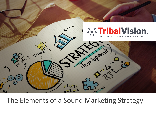

The Elements of a Sound Marketing Strategy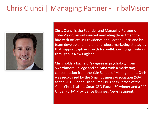# Chris Ciunci | Managing Partner - TribalVision



Chris Ciunci is the Founder and Managing Partner of TribalVision, an outsourced marketing department for hire with offices in Providence and Boston. Chris and his team develop and implement robust marketing strategies that support topline growth for well-known organizations throughout New England.

Chris holds a bachelor's degree in psychology from Swarthmore College and an MBA with a marketing concentration from the Yale School of Management. Chris was recognized by the Small Business Association (SBA) as the 2015 Rhode Island Small Business Person of the Year. Chris is also a SmartCEO Future 50 winner and a "40 Under Forty" Providence Business News recipient.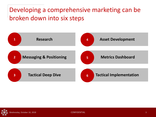### Developing a comprehensive marketing can be broken down into six steps

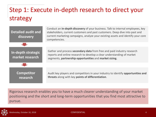# Step 1: Execute in-depth research to direct your strategy

| <b>Detailed audit and</b><br>discovery | Conduct an in-depth discovery of your business. Talk to internal employees, key<br>stakeholders, current customers and past customers. Deep dive into past and<br>current marketing campaigns, analyze your existing assets and identify your core<br>competencies. |
|----------------------------------------|---------------------------------------------------------------------------------------------------------------------------------------------------------------------------------------------------------------------------------------------------------------------|
|                                        |                                                                                                                                                                                                                                                                     |
| In-depth strategic<br>market research  | Gather and process <b>secondary data</b> from free and paid industry research<br>reports and online research to develop a clear understanding of market<br>segments, partnership opportunities and market sizing.                                                   |
|                                        |                                                                                                                                                                                                                                                                     |
| <b>Competitor</b><br>research          | Audit key players and competitors in your industry to identify opportunities and<br>threats along with key points of differentiation.                                                                                                                               |

Rigorous research enables you to have a much clearer understanding of your market positioning and the short and long-term opportunities that you find most attractive to pursue.

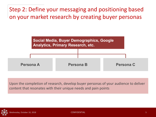Step 2: Define your messaging and positioning based on your market research by creating buyer personas



Upon the completion of research, develop buyer personas of your audience to deliver content that resonates with their unique needs and pain points

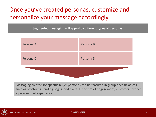### Once you've created personas, customize and personalize your message accordingly

Segmented messaging will appeal to different types of personas.



Messaging created for specific buyer personas can be featured in group-specific assets, such as brochures, landing pages, and flyers. In the era of engagement, customers expect a personalized experience.

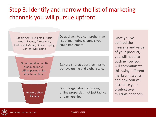### Step 3: Identify and narrow the list of marketing channels you will pursue upfront

Google Ads, SEO, Email, Social Media, Events, Direct Mail, Traditional Media, Online Display, Content Marketing

Deep dive into a comprehensive list of marketing channels you could implement.

Omni-brand vs. multibrand, online vs. offline partnerships, affiliate vs. direct

Explore strategic partnerships to achieve online and global scale.

Amazon, eBay, Alibaba

Don't forget about exploring online properties, not just tactics or partnerships

Once you've defined the message and value of your product, you will need to outline how you will communicate this using different marketing tactics, and how you will distribute your product over multiple channels.

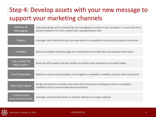## Step 4: Develop assets with your new message to support your marketing channels

| Website &<br><b>Messaging</b>            | Improving design and incorporating new messaging to transform your company's current site into a<br>dynamic platform for fresh content and a lead generation tool |
|------------------------------------------|-------------------------------------------------------------------------------------------------------------------------------------------------------------------|
| <b>Videos</b>                            | Leverage client testimonial and overview videos to strengthen relevancy and prospect conversion                                                                   |
| LinkedIn                                 | Build out LinkedIn company page with associated service offerings and company information                                                                         |
| Case studies &<br>white papers           | Build out white papers and case studies to position your company as a thought leader                                                                              |
| <b>Email Templates</b>                   | Build out custom email templates to strengthen e-newsletter credibility and any client touch point                                                                |
| Sales pitch decks                        | Design and build out modular sales deck with Company X branding and story to strengthen<br>credibility and to communicate value proposition                       |
| <b>Custom trade</b><br>show booth panels | Leverage custom booth panels to improve relevance to target audience                                                                                              |

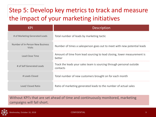# Step 5: Develop key metrics to track and measure the impact of your marketing initiatives

| <b>KPI</b>                                        | <b>Description</b>                                                                |
|---------------------------------------------------|-----------------------------------------------------------------------------------|
| # of Marketing Generated Leads                    | Total number of leads by marketing tactic                                         |
| Number of In-Person New Business<br><b>Visits</b> | Number of times a salesperson goes out to meet with new potential leads           |
| Lead Close Time                                   | Amount of time from lead sourcing to lead closing, lower measurement is<br>better |
| # of Self Generated Leads                         | Track the leads your sales team is sourcing through personal outside<br>contacts  |
| # Leads Closed                                    | Total number of new customers brought on for each month                           |
| Lead/ Closed Ratio                                | Ratio of marketing generated leads to the number of actual sales                  |

#### Without KPI's that are set ahead of time and continuously monitored, marketing campaigns will fall short.

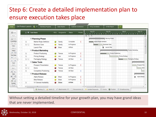### Step 6: Create a detailed implementation plan to ensure execution takes place

| <b>出</b> Save<br>Filew                                 |          |                        | <b>A</b> Task Name           | <b>RYG</b> | Assigned to  | <b>Status</b> | Priority | Aug 30<br><b>Aug 23</b><br>Sep 6<br>Sep 13<br>MTWTFSSMTWTF<br><b>MTWTFS</b><br>M<br>WIT<br>○ 日 日 |
|--------------------------------------------------------|----------|------------------------|------------------------------|------------|--------------|---------------|----------|--------------------------------------------------------------------------------------------------|
| <b>Print</b>                                           |          |                        | Planning Phase               |            |              |               |          | Planning Phase                                                                                   |
| Undo/Redo                                              |          | 8                      | Market Regts Definition      |            | Sandy        | Complete      |          | Market Regts Definition                                                                          |
| いし                                                     |          | $\theta$               | <b>Business Case</b>         |            | Sandy        | In Progress   |          | <b>Business Case</b>                                                                             |
| View<br>Gantt w                                        |          |                        | Launch Plan                  |            | Brian        | At Risk       |          | Launch Plan                                                                                      |
| Indent                                                 |          |                        | Product Marketing            |            |              |               |          | Product Marketing                                                                                |
| 12 号                                                   |          | ß                      | <b>Product Positioning</b>   |            | Teresa       | In Progress   |          | <b>Product Positioning</b>                                                                       |
| <b>Text Style</b>                                      |          | 8                      | Pricing Strategy             |            | Joe          | In Progress   |          | Pricing Strategy                                                                                 |
|                                                        |          | $\theta$               | Packaging Strategy           |            | Teresa       | At Risk       | s        | Packaging Strategy                                                                               |
| $\mathbf{g}$                                           |          |                        | Sales Tools                  |            |              |               |          |                                                                                                  |
| Arial =                                                | 山道       | Ø                      | <b>Prospect Presentation</b> |            | Teresa       | In Progress   |          | Prospect Prei                                                                                    |
| 10pt                                                   | 1110     | $B \Box$               | Demo                         |            | Teresa       | At Risk       |          | Demr                                                                                             |
| A' A                                                   | 1216     | B                      | Competitive Positioning      |            | Teresa       | At Risk       | ÷        |                                                                                                  |
|                                                        | 31.16    |                        | Product Release              |            |              |               |          |                                                                                                  |
| $\begin{array}{c}\n\text{Algn} \\ \hline\n\end{array}$ | $2 - 12$ |                        | Alpha Release                |            | Brian        | In Progress   |          | Alpha Releas                                                                                     |
| Color<br>$\delta$ $\Lambda$                            |          |                        | <b>Beta Release</b>          |            | Brian        | In Progress   |          |                                                                                                  |
| Number                                                 |          | Ø                      | V1 General Availability      |            | <b>Brian</b> | At Risk       |          |                                                                                                  |
| $-7 - 7$<br>$v$ more $v$                               | 17 J N   | $\left  \cdot \right $ | m                            |            |              |               |          | $+$ $+$<br>$\mathbf{m}$                                                                          |

Without setting a detailed timeline for your growth plan, you may have grand ideas that are never implemented.